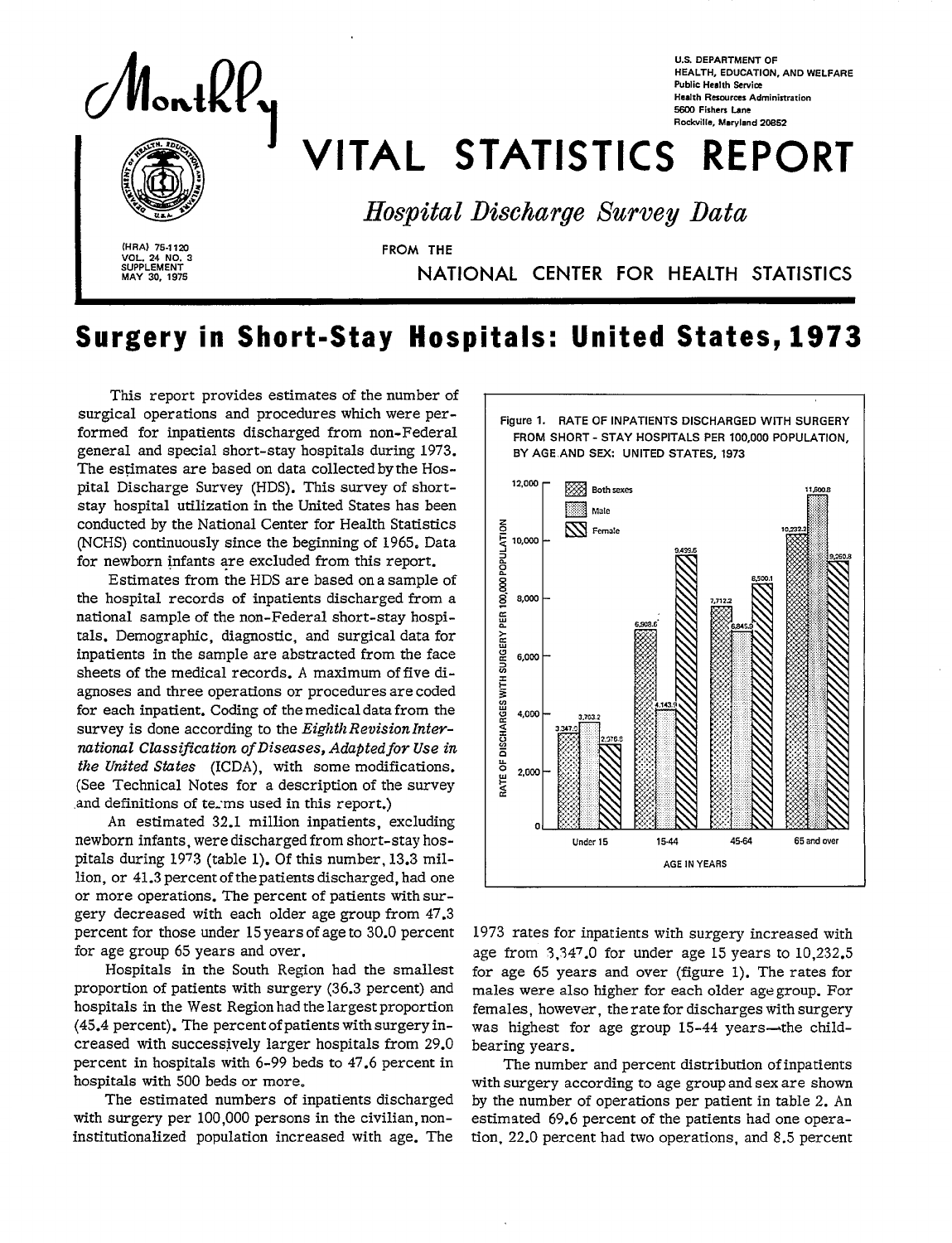

 **sUPPLEMENT** MAY 30, 1975

# VITAL STATISTICS REPORT<br>
Inspital Discharge Survey Data<br>
FROM THE **5600 Fishers Lane Rockville, Maryland 20s52**

**U.S. DEPARTMENT OF** 

**Public Health Service Health Resources Administration** 

**HEALTH, EDUCATION, AND WELFARE** 

*Hospital Discharge &rvey Data* 

**I (HRA) 75.112u** FROM THE **VOL. 24 NO. 3** 

**MAY 30, 1975 NATIONAL CENTER FOR HEALTH STATISTIC** 

## **Surgery in Short-Stay Hospitals: United States, 1973**

This report provides estimates of the number of surgical operations and procedures which were performed for inpatients discharged from non-Federal general and special short-stay hospitals during 1973. The estimates are based on data collected by the Hospital Discharge Survey (HDS). This survey of shortstay hospital utilization in the United States has been conducted by the National Center for Health Statistics (NCHS) continuously since the beginning of 1965. Data for newborn infants are excluded from this report.

Estimates from the HDS are based on a sample of the hospital records of inpatients discharged from a national sample of the non-Federal short-stay hospitals. Demographic, diagnostic, and surgical data for inpatients in the sample are abstracted from the face sheets of the medical records. A maximum of five diagnoses and three operations or procedures are coded for each inpatient. Coding of the medical data from the survey is done according to the *Eighth Revision International Classification of Diseases, Adapted for Use in the United Stutes* (ICDA), with some modifications. (See Technical Notes for a description of the survey and definitions of terms used in this report.)

An estimated 32.1 million inpatients, excluding newborn infants, were discharged from short-stay hospitals during 1973 (table 1). Of this number, 13.3 million, or 41.3 percent of the patients discharged, had one or more operations. The percent of patients with surgery decreased with each older age group from 47.3 percent for those under 15 years of age to 30.0 percent for age group 65 years and over.

Hospitals in the South Region had the smallest proportion of patients with surgery (36.3 percent) and hospitals in the West Region had the largest proportion (45.4 percent). The percent of patients with surgery increased with successively larger hospitals from 29.0 percent in hospitals with 6-99 beds to 47.6 percent in hospitals with 500 beds or more.

The estimated numbers of inpatients discharged with surgery per 100,000 persons in the civilian, noninstitutionalized population increased with age. The



*1973* rates for inpatients with surgery increased with age from  $3,347.0$  for under age 15 years to  $10,232.5$ for age 65 years and over (figure 1). The rates for maIes were also higher for each older age group. For females, however, the rate for discharges with surgery was highest for age group 15-44 years-the childbearing years.

The number and percent distribution of inpatients with surgery according to age group and sex are shown by the number of operations per patient in table 2. An estimated 69.6 percent of the patients had one operation, 22.0 percent had two operations, and 8.5 percent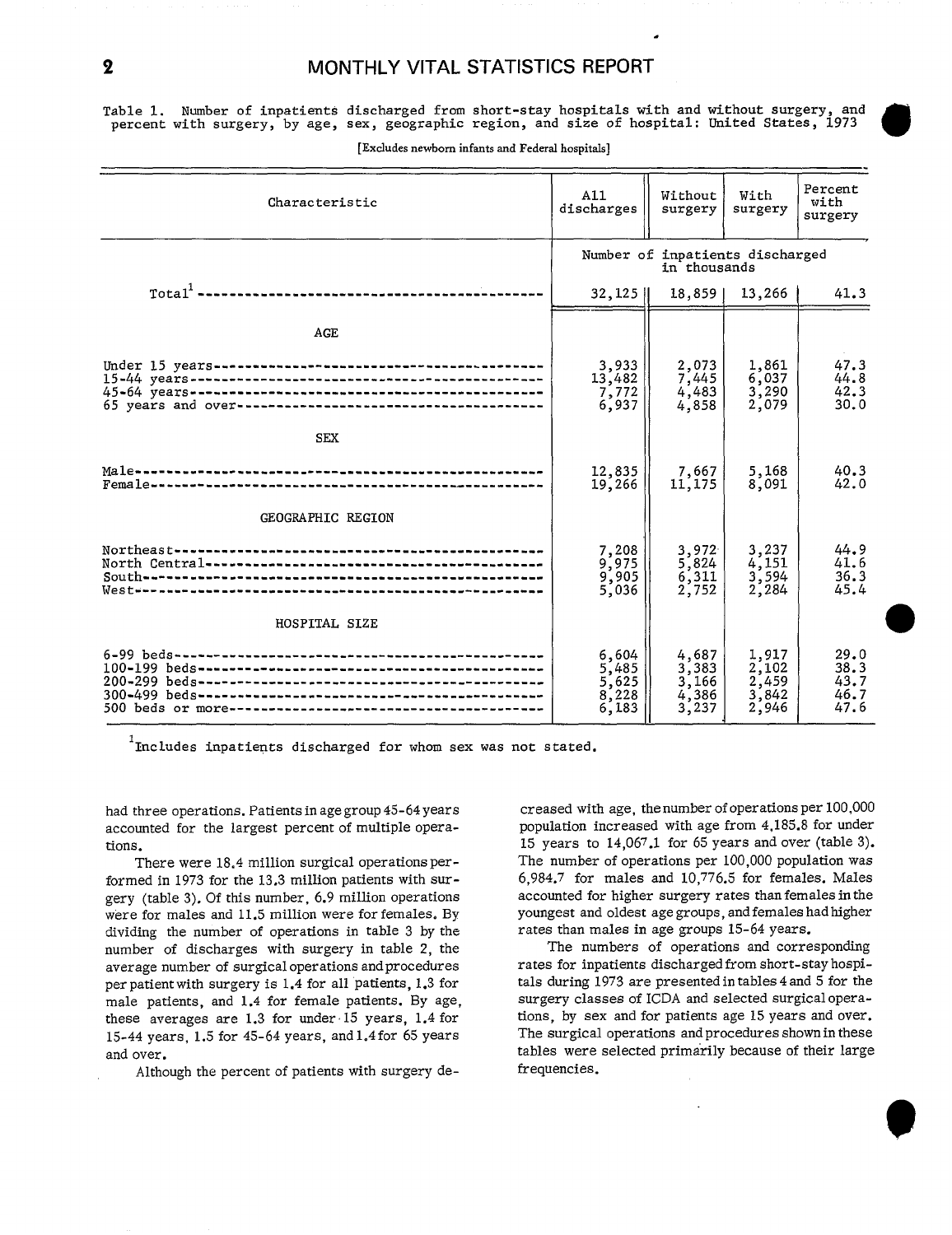#### 2 MONTHLY VITAL STATISTICS REPORT

.

Table 1. Number of inpatients discharged from short-stay hospitals with and without surgery, and percent with surgery, by age, sex, geographic region, and size of hospital: United States, 1973

| Characteristic                                        | A11<br>discharges                               | Without<br>surgery                               | With<br>surgery                           | Percent<br>with<br>surgery           |
|-------------------------------------------------------|-------------------------------------------------|--------------------------------------------------|-------------------------------------------|--------------------------------------|
|                                                       | Number of inpatients discharged<br>in thousands |                                                  |                                           |                                      |
|                                                       | $32, 125$                                       | $18,859$                                         | 13,266                                    | 41.3                                 |
| AGE                                                   |                                                 |                                                  |                                           |                                      |
|                                                       | 3,933<br>13,482<br>7,772<br>6,937               | $\frac{2,073}{7,445}$<br>4,483<br>4,858          | 1,861<br>6,037<br>3,290<br>2,079          | 47.3<br>44.8<br>42.3<br>30.0         |
| <b>SEX</b>                                            |                                                 |                                                  |                                           |                                      |
|                                                       | 12,835<br>19,266                                | 7,667<br>11,175                                  | 5,168<br>8,091                            | 40.3<br>42.0                         |
| GEOGRAPHIC REGION                                     |                                                 |                                                  |                                           |                                      |
| Westweenerwebbarenenerbebautenenenenenenenerweberenen | 7,208<br>9,975<br>9,905<br>5,036                | 3,972<br>5,824<br>6,311<br>2,752                 | $\frac{3,237}{4,151}$<br>3,594<br>2,284   | 44.9<br>41.6<br>36.3<br>45.4         |
| HOSPITAL SIZE                                         |                                                 |                                                  |                                           |                                      |
|                                                       | 6,604<br>5,485<br>5,625<br>8,228<br>6,183       | $\frac{4,687}{3,383}$<br>3,166<br>4,386<br>3,237 | 1.917<br>2,102<br>2,459<br>3,842<br>2,946 | 29.0<br>38.3<br>43.7<br>46.7<br>47.6 |

[Excludes newborn infants and Federal hospitals]

. Includes inpatients discharged for whom sex was not state

had three operations. Patients in age group 45-64 yea: accounted for the largest percent of multiple operations.

There were 18.4 million surgical operations performed in 1973 for the 13.3 million patients with surgery (table 3). Of this number, 6.9 million operations were for males and 11.5 million were for females. By dividing the number of operations in table 3 by the number of discharges with surgery in table 2, the average number of surgical operations and procedures per patient with surgery is 1.4 for all patients, 1.3 for male patients, and 1.4 for female patients. By age, these averages are 1.3 for under 15 years, 1.4 for 15-44 years, 1.5 for 45-64 years, and 1.4 for 65 years and over.

Although the percent of patients with surgery de-

creased with age, the number of operations per 100,000 population increased with age from 4,185.8 for under 15 years to 14,067.1 for 65 years and over (table 3). The number of operations per 100,000 population was 6,984.7 for males and 10,776.5 for females. Males accounted for higher surgery rates than femalea in the youngest and oldest age groups, and females had higher rates than males in age groups 15-64 years.

The numbers of operations and corresponding rates for inpatients discharged from short-stay hospitals during 1973 are presented in tables 4 and 5 for the surgery classes of ICDA and selected surgical operations, by sex and for patients age 15 years and over. The surgical operations and procedures shown in these tables were selected primarily because of their large frequencies.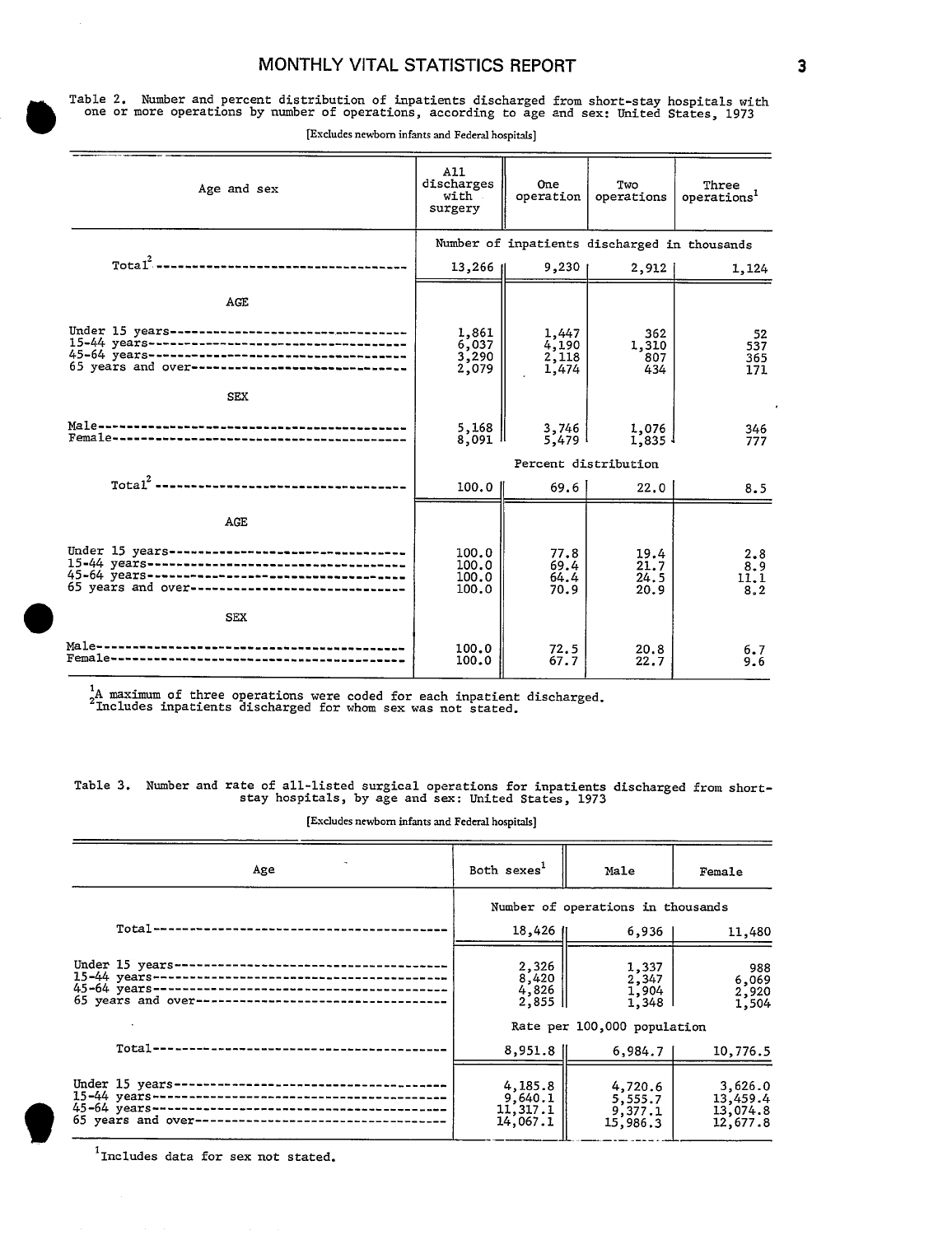#### **MONTHLY VITAL STATISTICS**

Table 2. Number and percent distribution of inpatients discharged from short-stay hospitals with<br>one or more operations by number of operations, according to age and sex: United States, 1973<br>[Excludes newborn infants and F one or more operations by number of operations, according to age and sex: United States, 1973

| Age and sex                                                                                                                                            | A11<br>discharges<br>with<br>surgery    | One<br>operation                 | Two<br>operations                            | Three<br>operations <sup>1</sup> |
|--------------------------------------------------------------------------------------------------------------------------------------------------------|-----------------------------------------|----------------------------------|----------------------------------------------|----------------------------------|
|                                                                                                                                                        |                                         |                                  | Number of inpatients discharged in thousands |                                  |
|                                                                                                                                                        | $13,266$ II                             | $9,230$                          | 2,912                                        | 1,124                            |
| AGE                                                                                                                                                    |                                         |                                  |                                              |                                  |
| Under 15 years----------------------------------<br>65 years and over------------------------------                                                    | 1,861<br>$\frac{6,037}{3,290}$<br>2,079 | 1,447<br>4.190<br>2,118<br>1,474 | 362<br>1,310<br>807<br>434                   | 52<br>537<br>365<br>171          |
| <b>SEX</b>                                                                                                                                             |                                         |                                  |                                              |                                  |
|                                                                                                                                                        | 5,168<br>8,091 H                        | 3,746<br>5,479                   | 1,076<br>$1.835$ $\frac{1}{2}$               | 346<br>777                       |
|                                                                                                                                                        | Percent distribution                    |                                  |                                              |                                  |
|                                                                                                                                                        | 100.0                                   | 69.6                             | 22.0                                         | 8.5                              |
| AGE                                                                                                                                                    |                                         |                                  |                                              |                                  |
| Under 15 years----------------------------------<br>45-64 years-----------------------------------<br>65 years and over------------------------------- | 100.0<br>100.0<br>100.0<br>100.0        | 77.8<br>69.4<br>64.4<br>70.9     | 19.4<br>21.7<br>24.5<br>20.9                 | 2,8<br>8.9<br>11.1<br>8.2        |
| <b>SEX</b>                                                                                                                                             |                                         |                                  |                                              |                                  |
|                                                                                                                                                        | 100.0<br>100.0                          | 72.5<br>67.7                     | 20.8<br>22.7                                 | 6.7<br>9.6                       |

[Excludes newborn infants and Federal hospitals]

1A maximum of three operations were coded for each inpatient discharged. Includes inpatients discharged for whom sex was not stated.

Table 3. Number and rate of all-listed surgical operations for inpatients discharged from short- stay hospitals, by age and sex: United States, 1973

[Excludes newborn infants and Federal hospitals]

| Age                                                                                                                                                                                                  | Both sexes <sup>1</sup>                    | Male                                      | Female                                      |  |
|------------------------------------------------------------------------------------------------------------------------------------------------------------------------------------------------------|--------------------------------------------|-------------------------------------------|---------------------------------------------|--|
|                                                                                                                                                                                                      | Number of operations in thousands          |                                           |                                             |  |
| $Total--$                                                                                                                                                                                            | 18,426                                     | 6,936                                     | 11,480                                      |  |
| Under 15 years-<br>$15-44$ years --<br>-------------------------------------<br>$45 - 64$ years --<br>--------------------------------------<br>65 years and over-<br>------------------------------ | 2,326<br>8,420<br>4,826<br>$2,855$         | 1,337<br>2,347<br>1,904<br>1,348          | 988<br>6,069<br>2,920<br>1,504              |  |
|                                                                                                                                                                                                      | Rate per 100,000 population                |                                           |                                             |  |
| Total------------------------                                                                                                                                                                        | 8,951.8                                    | 6,984.7                                   | 10,776.5                                    |  |
| Under 15 years-<br>$45-64$ years-<br>-----------------------------------<br>65 years and over-------------------------------                                                                         | 4,185.8<br>9,640.1<br>11,317.1<br>14,067.1 | 4,720.6<br>5,555.7<br>9,377.1<br>15,986.3 | 3,626.0<br>13,459.4<br>13,074.8<br>12,677.8 |  |

'Includes data for sex not stated.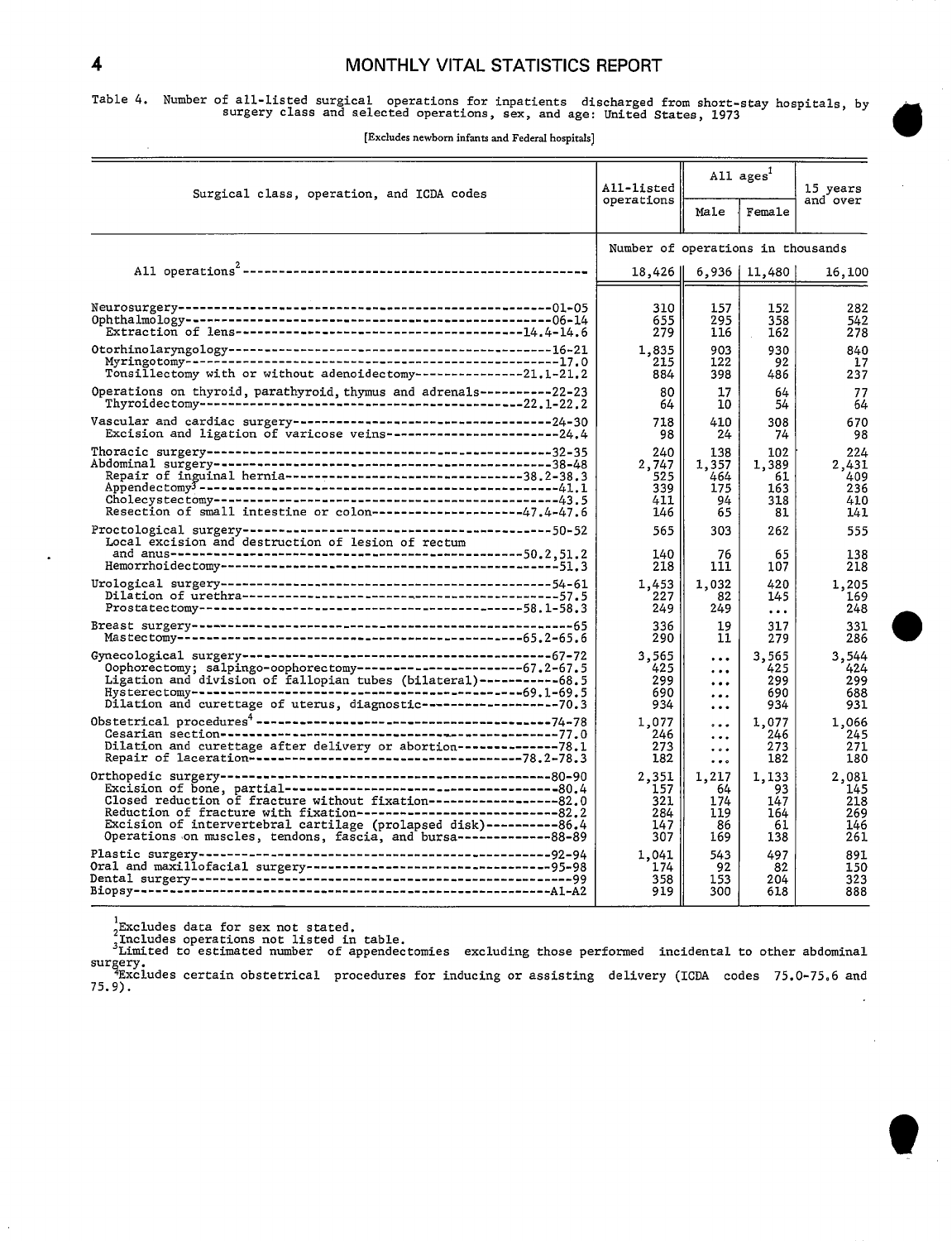Table 4. Number of all-listed surgical operations for inpatients discharged from short-stay hospitals, by<br>surgery class and selected operations, sex, and age: United States, 1973

| Surgical class, operation, and ICDA codes                                                                                                                                                                                                                                                 | All-listed                        | All ages <sup>1</sup>                              |                                   | 15 years                          |  |
|-------------------------------------------------------------------------------------------------------------------------------------------------------------------------------------------------------------------------------------------------------------------------------------------|-----------------------------------|----------------------------------------------------|-----------------------------------|-----------------------------------|--|
|                                                                                                                                                                                                                                                                                           | operations                        | Male                                               | Female                            | and over                          |  |
|                                                                                                                                                                                                                                                                                           |                                   | Number of operations in thousands                  |                                   |                                   |  |
|                                                                                                                                                                                                                                                                                           | 18,426                            |                                                    | $6,936$   11,480                  | 16,100                            |  |
|                                                                                                                                                                                                                                                                                           | 310<br>655<br>279                 | 157<br>295<br>116                                  | 152<br>358<br>162                 | 282<br>542<br>278                 |  |
|                                                                                                                                                                                                                                                                                           | 1,835                             | 903                                                | 930                               | 840                               |  |
|                                                                                                                                                                                                                                                                                           | 215                               | 122                                                | 92                                | 17                                |  |
| Tonsillectomy with or without adenoidectomy---------------21.1-21.2                                                                                                                                                                                                                       | 884                               | 398                                                | 486                               | 237                               |  |
| Operations on thyroid, parathyroid, thymus and adrenals----------22-23                                                                                                                                                                                                                    | 80                                | 17                                                 | 64                                | 77                                |  |
|                                                                                                                                                                                                                                                                                           | 64                                | 10                                                 | 54                                | 64                                |  |
|                                                                                                                                                                                                                                                                                           | 718                               | 410                                                | 308                               | 670                               |  |
| Excision and ligation of varicose veins-----------------------24.4                                                                                                                                                                                                                        | 98                                | 24                                                 | 74                                | 98                                |  |
|                                                                                                                                                                                                                                                                                           | 240                               | 138                                                | 102                               | 224                               |  |
|                                                                                                                                                                                                                                                                                           | 2,747                             | 1,357                                              | 1,389                             | 2,431                             |  |
| Repair of inguinal hernia---------------------------------38.2-38.3                                                                                                                                                                                                                       | 525                               | 464                                                | 61                                | 409                               |  |
|                                                                                                                                                                                                                                                                                           | 339                               | 175                                                | 163                               | 236                               |  |
|                                                                                                                                                                                                                                                                                           | 411                               | 94                                                 | 318                               | 410                               |  |
| Resection of small intestine or colon--------------------47.4-47.6                                                                                                                                                                                                                        | 146                               | 65                                                 | 81                                | 141                               |  |
| Local excision and destruction of lesion of rectum                                                                                                                                                                                                                                        | 565<br>140<br>218                 | 303<br>76<br>111                                   | 262<br>65<br>107                  | 555<br>138<br>218                 |  |
|                                                                                                                                                                                                                                                                                           | 1.453                             | 1.032                                              | 420                               | 1,205                             |  |
|                                                                                                                                                                                                                                                                                           | 227                               | 82                                                 | 145                               | 169                               |  |
|                                                                                                                                                                                                                                                                                           | 249                               | 249                                                | $\ddotsc$                         | 248                               |  |
|                                                                                                                                                                                                                                                                                           | 336                               | 19                                                 | 317                               | 331                               |  |
|                                                                                                                                                                                                                                                                                           | 290                               | 11                                                 | 279                               | 286                               |  |
| Oophorectomy; salpingo-oophorectomy------------------------67.2-67.5<br>Ligation and division of fallopian tubes (bilateral)-----------68.5<br>--------------------------69.1-69.5<br>Hysterectomy-----------------<br>Dilation and curettage of uterus, diagnostic------------------70.3 | 3,565<br>425<br>299<br>690<br>934 | $\cdots$<br>$\ldots$<br>$\ddotsc$<br><br>$\ddotsc$ | 3,565<br>425<br>299<br>690<br>934 | 3,544<br>424<br>299<br>688<br>931 |  |
|                                                                                                                                                                                                                                                                                           | 1,077                             | $\ddotsc$                                          | 1,077                             | 1,066                             |  |
|                                                                                                                                                                                                                                                                                           | 246                               | $\cdots$                                           | 246                               | 245                               |  |
| Dilation and curettage after delivery or abortion--------------78.1                                                                                                                                                                                                                       | 273                               | $\cdots$                                           | 273                               | 271                               |  |
|                                                                                                                                                                                                                                                                                           | 182                               | $\bullet$ $\bullet$ $\circ$                        | 182                               | 180                               |  |
|                                                                                                                                                                                                                                                                                           | 2,351                             | 1,217                                              | 1,133                             | 2,081                             |  |
|                                                                                                                                                                                                                                                                                           | 157                               | 64                                                 | 93                                | 145                               |  |
| Closed reduction of fracture without fixation------------------82.0                                                                                                                                                                                                                       | 321                               | 174                                                | 147                               | 218                               |  |
| Reduction of fracture with fixation-------------------------------82.2                                                                                                                                                                                                                    | 284                               | 119                                                | 164                               | 269                               |  |
| Excision of intervertebral cartilage (prolapsed disk)----------86.4                                                                                                                                                                                                                       | 147                               | 86                                                 | 61                                | 146                               |  |
| Operations on muscles, tendons, fascia, and bursa--------------88-89                                                                                                                                                                                                                      | 307                               | 169                                                | 138                               | 261                               |  |
|                                                                                                                                                                                                                                                                                           | 1,041                             | 543                                                | 497                               | 891                               |  |
|                                                                                                                                                                                                                                                                                           | 174                               | 92                                                 | 82                                | 150                               |  |
|                                                                                                                                                                                                                                                                                           | 358                               | 153                                                | 204                               | 323                               |  |
|                                                                                                                                                                                                                                                                                           | 919                               | 300                                                | 618                               | 888                               |  |

<sub>2</sub>Excludes data for sex not stated.<br>Includes operations not listed in table.<br><sup>3</sup>Limited to estimated number of appendectomies excluding those performed incidental to other abdominal  $4$ Excludes certain obstetrical procedures for inducing or assisting delivery (ICDA codes 75.0-75.6 and

75.9).  $\mathcal{L}$ 

 $\ddot{\phantom{0}}$ 

l,



à,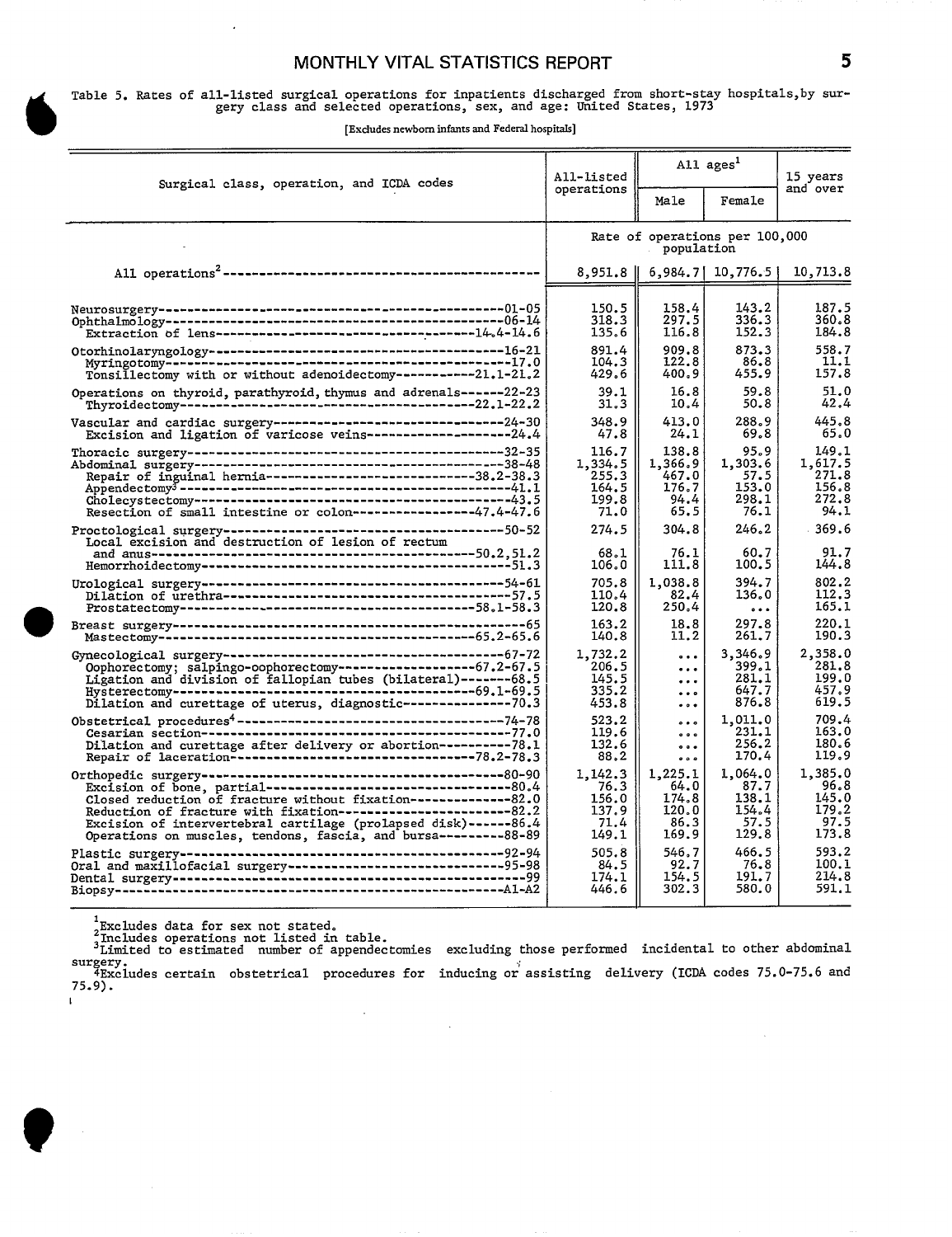#### MONTHLY VITAL STATISTICS REPORT **5**

### Table 5. Rates of all-listed surgical operations for inpatients discharged from short-stay hospitals, by sur gery class and selected operations, sex, and age: United Statesj 1973

6 **[Excludes newborn infants and Federal hospitals]** 

| Surgical class, operation, and ICDA codes                                                                                                                                                                                                                                                                                                                                                                                                                                                                                                                                                                   | All-listed<br>operations                            | All ages <sup>1</sup>                              |                                                    | 15 years                                            |
|-------------------------------------------------------------------------------------------------------------------------------------------------------------------------------------------------------------------------------------------------------------------------------------------------------------------------------------------------------------------------------------------------------------------------------------------------------------------------------------------------------------------------------------------------------------------------------------------------------------|-----------------------------------------------------|----------------------------------------------------|----------------------------------------------------|-----------------------------------------------------|
|                                                                                                                                                                                                                                                                                                                                                                                                                                                                                                                                                                                                             |                                                     | Male                                               | Female                                             | and over                                            |
|                                                                                                                                                                                                                                                                                                                                                                                                                                                                                                                                                                                                             | Rate of operations per 100,000<br>population        |                                                    |                                                    |                                                     |
|                                                                                                                                                                                                                                                                                                                                                                                                                                                                                                                                                                                                             | 8,951.8                                             |                                                    | $6,984.7$ [10,776.5]                               | 10,713.8                                            |
|                                                                                                                                                                                                                                                                                                                                                                                                                                                                                                                                                                                                             | 150.5<br>318.3<br>135.6                             | 158.4<br>297.5<br>116.8                            | 143.2<br>336.3<br>152.3                            | 187.5<br>360.8<br>184.8                             |
| $\label{thm:1} \begin{minipage}{0.03\textwidth} \begin{minipage}{0.03\textwidth} \centering \begin{minipage}{0.03\textwidth} \centering \end{minipage} \begin{minipage}{0.03\textwidth} \centering \begin{minipage}{0.03\textwidth} \centering \end{minipage} \begin{minipage}{0.03\textwidth} \centering \end{minipage} \begin{minipage}{0.03\textwidth} \centering \begin{minipage}{0.03\textwidth} \centering \end{minipage} \begin{minipage}{0.03\textwidth} \centering \end{minipage} \begin{minipage}{0.03\textwidth} \centering$<br>Tonsillectomy with or without adenoidectomy------------21.1-21.2 | 891.4<br>104.3<br>429.6                             | 909.8<br>122.8<br>400.9                            | 873.3<br>86.8<br>455.9                             | 558.7<br>11.1<br>157.8                              |
| Operations on thyroid, parathyroid, thymus and adrenals------22-23                                                                                                                                                                                                                                                                                                                                                                                                                                                                                                                                          | 39.1<br>31.3                                        | 16.8<br>10.4                                       | 59.8<br>50.8                                       | 51.0<br>42.4                                        |
| Vascular and cardiac surgery----------------------------------24-30<br>Excision and ligation of varicose veins--------------------24.4                                                                                                                                                                                                                                                                                                                                                                                                                                                                      | 348.9<br>47.8                                       | 413.0<br>24.1                                      | 288.9<br>69.8                                      | 445.8<br>65.0                                       |
|                                                                                                                                                                                                                                                                                                                                                                                                                                                                                                                                                                                                             | 116.7<br>1,334.5<br>255.3<br>164.5<br>199.8<br>71.0 | 138.8<br>1,366.9<br>467.0<br>176.7<br>94.4<br>65.5 | 95.9<br>1,303.6<br>57.5<br>153.0<br>298.1<br>76.1  | 149.1<br>1.617.5<br>271.8<br>156.8<br>272.8<br>94.1 |
|                                                                                                                                                                                                                                                                                                                                                                                                                                                                                                                                                                                                             | 274.5<br>68.1<br>106.0                              | 304.8<br>76.1<br>111.8                             | 246.2<br>60.7<br>100.5                             | 369.6<br>91.7<br>144.8                              |
|                                                                                                                                                                                                                                                                                                                                                                                                                                                                                                                                                                                                             | 705.8<br>110.4<br>120.8                             | 1,038.8<br>82.4<br>250.4                           | 394.7<br>136.0<br>$\cdots$                         | 802.2<br>112.3<br>165.1                             |
|                                                                                                                                                                                                                                                                                                                                                                                                                                                                                                                                                                                                             | 163.2<br>140.8                                      | 18.8<br>11.2                                       | 297.8<br>261.7                                     | 220.1<br>190.3                                      |
| Oophorectomy; salpingo-oophorectomy-------------------67.2-67.5<br>Dilation and curettage of uterus, diagnostic----------------70.3                                                                                                                                                                                                                                                                                                                                                                                                                                                                         | 1,732.2<br>206.5<br>145.5<br>335.2<br>453.8         | .<br><br><br>$\ddotsc$<br>$\ddotsc$                | 3,346.9<br>399.1<br>281.1<br>647.7<br>876.8        | 2,358.0<br>281.8<br>199.0<br>457.9<br>619.5         |
| Dilation and curettage after delivery or abortion----------78.1                                                                                                                                                                                                                                                                                                                                                                                                                                                                                                                                             | 523.2<br>119.6<br>132.6<br>88.2                     | $\ddot{\phantom{0}}$<br>0.0.0<br>0.0.0<br>0.0.0    | 1,011.0<br>231.1<br>256.2<br>170.4                 | 709.4<br>163.0<br>180.6<br>119.9                    |
| Closed reduction of fracture without fixation--------------82.0<br>Reduction of fracture with fixation------------------------82.2<br>Excision of intervertebral cartilage (prolapsed disk) ------86.4<br>Operations on muscles, tendons, fascia, and bursa---------88-89                                                                                                                                                                                                                                                                                                                                   | 1,142.3<br>76.3<br>156.0<br>137.9<br>71.4<br>149.1  | 1,225.1<br>64.0<br>174.8<br>120.0<br>86.3<br>169.9 | 1,064.0<br>87.7<br>138.1<br>154.4<br>57.5<br>129.8 | 1,385.0<br>96.8<br>145.0<br>179.2<br>97.5<br>173.8  |
|                                                                                                                                                                                                                                                                                                                                                                                                                                                                                                                                                                                                             | 505.8<br>84.5<br>174.1<br>446.6                     | 546.7<br>92.7<br>154.5<br>302.3                    | 466.5<br>76.8<br>191.7<br>580.0                    | 593.2<br>100.1<br>214.8<br>591.1                    |

I

 $\lambda$ 

,Excludes data for sex not stated.<br>^Includes operations not listed in table.<br><sup>3</sup>Limited to estimated number of appendectomies excluding those performed incidental to other abdominal **~~iudescertai.n** obstetrical procedures for inducing orassisting delivery (ICDA codes 75.0-75.6 and . . . . .

 $\mathbf{r}$